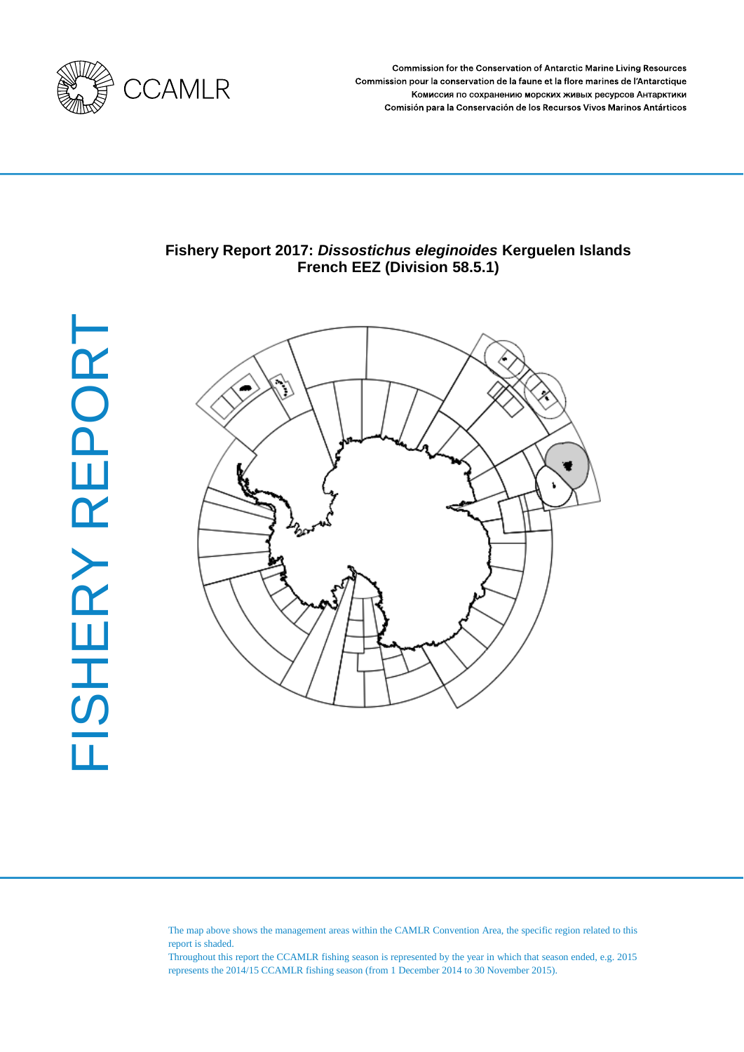

**Commission for the Conservation of Antarctic Marine Living Resources** Commission pour la conservation de la faune et la flore marines de l'Antarctique Комиссия по сохранению морских живых ресурсов Антарктики Comisión para la Conservación de los Recursos Vivos Marinos Antárticos

# **Fishery Report 2017:** *Dissostichus eleginoides* **Kerguelen Islands French EEZ (Division 58.5.1)**



The map above shows the management areas within the CAMLR Convention Area, the specific region related to this report is shaded.

Throughout this report the CCAMLR fishing season is represented by the year in which that season ended, e.g. 2015 represents the 2014/15 CCAMLR fishing season (from 1 December 2014 to 30 November 2015).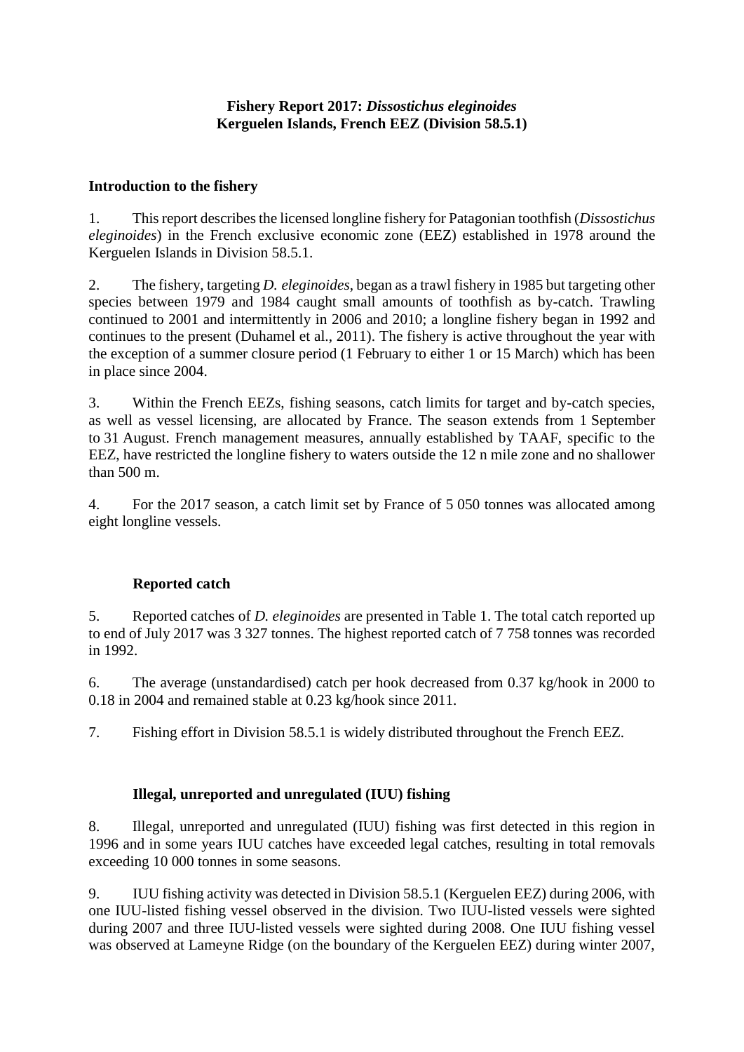# **Introduction to the fishery**

1. This report describes the licensed longline fishery for Patagonian toothfish (*Dissostichus eleginoides*) in the French exclusive economic zone (EEZ) established in 1978 around the Kerguelen Islands in Division 58.5.1.

2. The fishery, targeting *D. eleginoides*, began as a trawl fishery in 1985 but targeting other species between 1979 and 1984 caught small amounts of toothfish as by-catch. Trawling continued to 2001 and intermittently in 2006 and 2010; a longline fishery began in 1992 and continues to the present (Duhamel et al., 2011). The fishery is active throughout the year with the exception of a summer closure period (1 February to either 1 or 15 March) which has been in place since 2004.

3. Within the French EEZs, fishing seasons, catch limits for target and by-catch species, as well as vessel licensing, are allocated by France. The season extends from 1 September to 31 August. French management measures, annually established by TAAF, specific to the EEZ, have restricted the longline fishery to waters outside the 12 n mile zone and no shallower than 500 m.

4. For the 2017 season, a catch limit set by France of 5 050 tonnes was allocated among eight longline vessels.

# **Reported catch**

5. Reported catches of *D. eleginoides* are presented in Table 1. The total catch reported up to end of July 2017 was 3 327 tonnes. The highest reported catch of 7 758 tonnes was recorded in 1992.

6. The average (unstandardised) catch per hook decreased from 0.37 kg/hook in 2000 to 0.18 in 2004 and remained stable at 0.23 kg/hook since 2011.

7. Fishing effort in Division 58.5.1 is widely distributed throughout the French EEZ.

# **Illegal, unreported and unregulated (IUU) fishing**

8. Illegal, unreported and unregulated (IUU) fishing was first detected in this region in 1996 and in some years IUU catches have exceeded legal catches, resulting in total removals exceeding 10 000 tonnes in some seasons.

9. IUU fishing activity was detected in Division 58.5.1 (Kerguelen EEZ) during 2006, with one IUU-listed fishing vessel observed in the division. Two IUU-listed vessels were sighted during 2007 and three IUU-listed vessels were sighted during 2008. One IUU fishing vessel was observed at Lameyne Ridge (on the boundary of the Kerguelen EEZ) during winter 2007,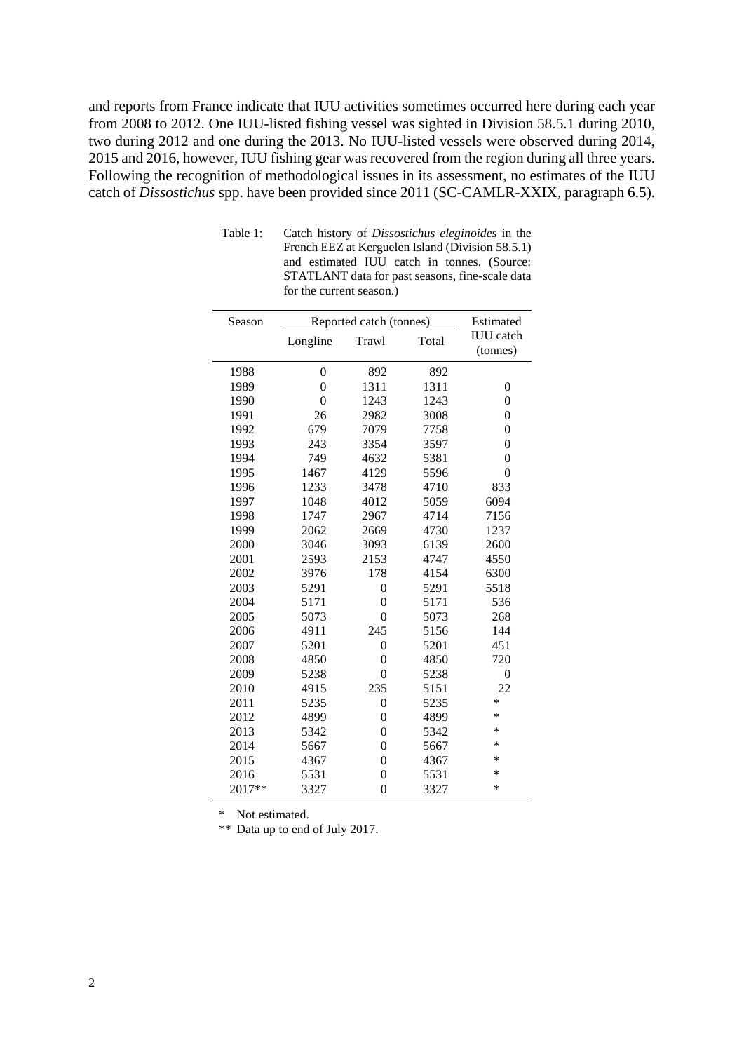and reports from France indicate that IUU activities sometimes occurred here during each year from 2008 to 2012. One IUU-listed fishing vessel was sighted in Division 58.5.1 during 2010, two during 2012 and one during the 2013. No IUU-listed vessels were observed during 2014, 2015 and 2016, however, IUU fishing gear was recovered from the region during all three years. Following the recognition of methodological issues in its assessment, no estimates of the IUU catch of *Dissostichus* spp. have been provided since 2011 (SC-CAMLR-XXIX, paragraph 6.5).

| Season | Reported catch (tonnes) |                | Estimated |                  |
|--------|-------------------------|----------------|-----------|------------------|
|        | Longline                | Trawl          | Total     | <b>IUU</b> catch |
|        |                         |                |           | (tonnes)         |
| 1988   | $\overline{0}$          | 892            | 892       |                  |
| 1989   | $\theta$                | 1311           | 1311      | $\boldsymbol{0}$ |
| 1990   | $\theta$                | 1243           | 1243      | $\boldsymbol{0}$ |
| 1991   | 26                      | 2982           | 3008      | $\theta$         |
| 1992   | 679                     | 7079           | 7758      | $\overline{0}$   |
| 1993   | 243                     | 3354           | 3597      | $\overline{0}$   |
| 1994   | 749                     | 4632           | 5381      | $\overline{0}$   |
| 1995   | 1467                    | 4129           | 5596      | $\theta$         |
| 1996   | 1233                    | 3478           | 4710      | 833              |
| 1997   | 1048                    | 4012           | 5059      | 6094             |
| 1998   | 1747                    | 2967           | 4714      | 7156             |
| 1999   | 2062                    | 2669           | 4730      | 1237             |
| 2000   | 3046                    | 3093           | 6139      | 2600             |
| 2001   | 2593                    | 2153           | 4747      | 4550             |
| 2002   | 3976                    | 178            | 4154      | 6300             |
| 2003   | 5291                    | $\theta$       | 5291      | 5518             |
| 2004   | 5171                    | $\overline{0}$ | 5171      | 536              |
| 2005   | 5073                    | $\theta$       | 5073      | 268              |
| 2006   | 4911                    | 245            | 5156      | 144              |
| 2007   | 5201                    | $\theta$       | 5201      | 451              |
| 2008   | 4850                    | $\overline{0}$ | 4850      | 720              |
| 2009   | 5238                    | $\theta$       | 5238      | $\overline{0}$   |
| 2010   | 4915                    | 235            | 5151      | 22               |
| 2011   | 5235                    | $\mathbf{0}$   | 5235      | *                |
| 2012   | 4899                    | $\theta$       | 4899      | $\ast$           |
| 2013   | 5342                    | $\theta$       | 5342      | ∗                |
| 2014   | 5667                    | $\theta$       | 5667      | *                |
| 2015   | 4367                    | $\overline{0}$ | 4367      | $\ast$           |
| 2016   | 5531                    | $\overline{0}$ | 5531      | *                |
| 2017** | 3327                    | $\theta$       | 3327      | ∗                |

Table 1: Catch history of *Dissostichus eleginoides* in the French EEZ at Kerguelen Island (Division 58.5.1) and estimated IUU catch in tonnes. (Source: STATLANT data for past seasons, fine-scale data for the current season.)

\* Not estimated.

\*\* Data up to end of July 2017.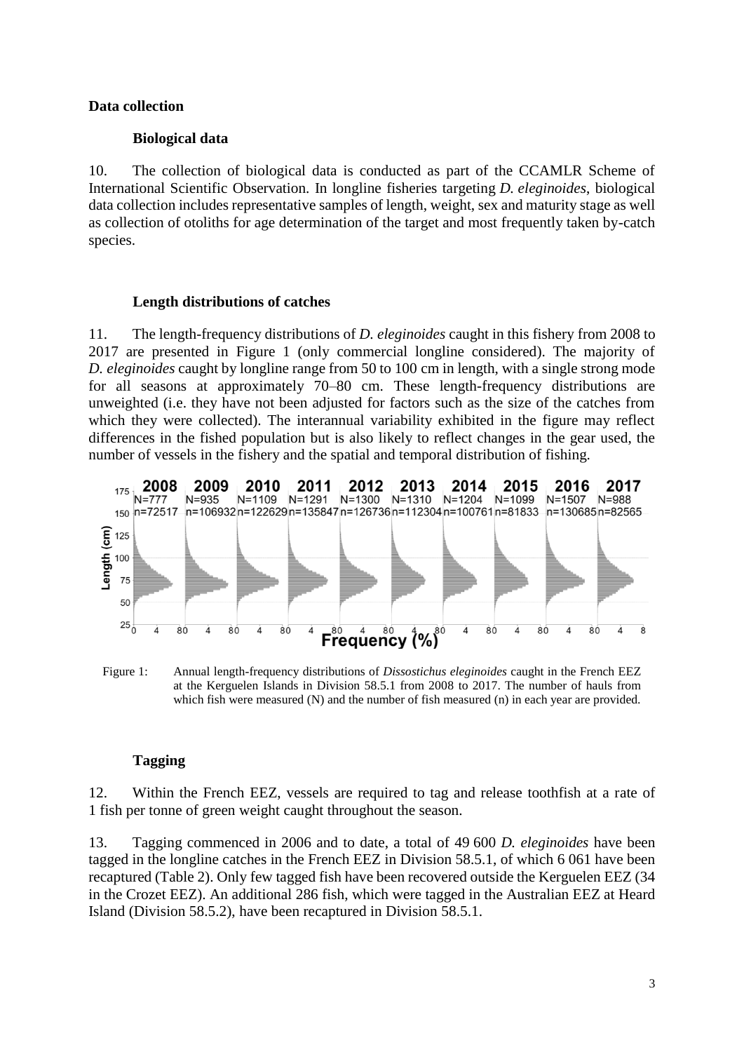### **Data collection**

#### **Biological data**

10. The collection of biological data is conducted as part of the CCAMLR Scheme of International Scientific Observation. In longline fisheries targeting *D. eleginoides*, biological data collection includes representative samples of length, weight, sex and maturity stage as well as collection of otoliths for age determination of the target and most frequently taken by-catch species.

#### **Length distributions of catches**

11. The length-frequency distributions of *D. eleginoides* caught in this fishery from 2008 to 2017 are presented in Figure 1 (only commercial longline considered). The majority of *D. eleginoides* caught by longline range from 50 to 100 cm in length, with a single strong mode for all seasons at approximately 70–80 cm. These length-frequency distributions are unweighted (i.e. they have not been adjusted for factors such as the size of the catches from which they were collected). The interannual variability exhibited in the figure may reflect differences in the fished population but is also likely to reflect changes in the gear used, the number of vessels in the fishery and the spatial and temporal distribution of fishing.



Figure 1: Annual length-frequency distributions of *Dissostichus eleginoides* caught in the French EEZ at the Kerguelen Islands in Division 58.5.1 from 2008 to 2017. The number of hauls from which fish were measured (N) and the number of fish measured (n) in each year are provided.

## **Tagging**

12. Within the French EEZ, vessels are required to tag and release toothfish at a rate of 1 fish per tonne of green weight caught throughout the season.

13. Tagging commenced in 2006 and to date, a total of 49 600 *D. eleginoides* have been tagged in the longline catches in the French EEZ in Division 58.5.1, of which 6 061 have been recaptured (Table 2). Only few tagged fish have been recovered outside the Kerguelen EEZ (34 in the Crozet EEZ). An additional 286 fish, which were tagged in the Australian EEZ at Heard Island (Division 58.5.2), have been recaptured in Division 58.5.1.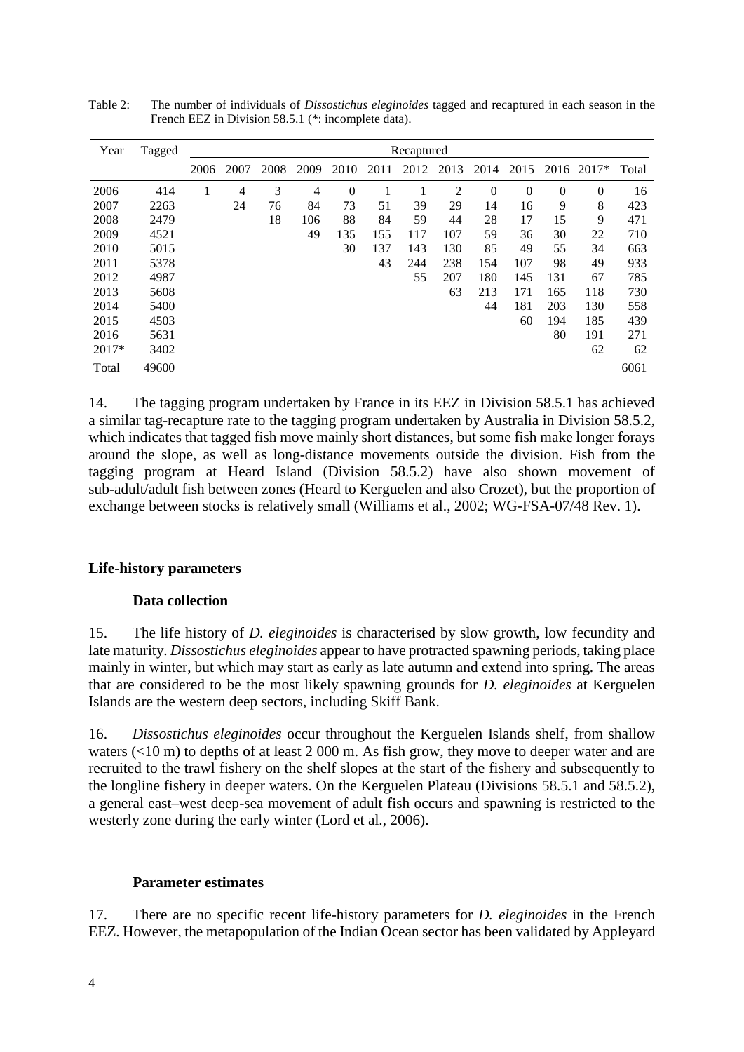| Year  | Tagged | Recaptured |      |      |      |          |      |      |                |                |          |              |          |       |
|-------|--------|------------|------|------|------|----------|------|------|----------------|----------------|----------|--------------|----------|-------|
|       |        | 2006       | 2007 | 2008 | 2009 | 2010     | 2011 | 2012 | 2013           | 2014           | 2015     | 2016         | 2017*    | Total |
| 2006  | 414    | 1          | 4    | 3    | 4    | $\theta$ |      |      | $\overline{2}$ | $\overline{0}$ | $\theta$ | $\mathbf{0}$ | $\theta$ | 16    |
| 2007  | 2263   |            | 24   | 76   | 84   | 73       | 51   | 39   | 29             | 14             | 16       | 9            | 8        | 423   |
| 2008  | 2479   |            |      | 18   | 106  | 88       | 84   | 59   | 44             | 28             | 17       | 15           | 9        | 471   |
| 2009  | 4521   |            |      |      | 49   | 135      | 155  | 117  | 107            | 59             | 36       | 30           | 22       | 710   |
| 2010  | 5015   |            |      |      |      | 30       | 137  | 143  | 130            | 85             | 49       | 55           | 34       | 663   |
| 2011  | 5378   |            |      |      |      |          | 43   | 244  | 238            | 154            | 107      | 98           | 49       | 933   |
| 2012  | 4987   |            |      |      |      |          |      | 55   | 207            | 180            | 145      | 131          | 67       | 785   |
| 2013  | 5608   |            |      |      |      |          |      |      | 63             | 213            | 171      | 165          | 118      | 730   |
| 2014  | 5400   |            |      |      |      |          |      |      |                | 44             | 181      | 203          | 130      | 558   |
| 2015  | 4503   |            |      |      |      |          |      |      |                |                | 60       | 194          | 185      | 439   |
| 2016  | 5631   |            |      |      |      |          |      |      |                |                |          | 80           | 191      | 271   |
| 2017* | 3402   |            |      |      |      |          |      |      |                |                |          |              | 62       | 62    |
| Total | 49600  |            |      |      |      |          |      |      |                |                |          |              |          | 6061  |

Table 2: The number of individuals of *Dissostichus eleginoides* tagged and recaptured in each season in the French EEZ in Division 58.5.1 (\*: incomplete data).

14. The tagging program undertaken by France in its EEZ in Division 58.5.1 has achieved a similar tag-recapture rate to the tagging program undertaken by Australia in Division 58.5.2, which indicates that tagged fish move mainly short distances, but some fish make longer forays around the slope, as well as long-distance movements outside the division. Fish from the tagging program at Heard Island (Division 58.5.2) have also shown movement of sub-adult/adult fish between zones (Heard to Kerguelen and also Crozet), but the proportion of exchange between stocks is relatively small (Williams et al., 2002; WG-FSA-07/48 Rev. 1).

# **Life-history parameters**

### **Data collection**

15. The life history of *D. eleginoides* is characterised by slow growth, low fecundity and late maturity. *Dissostichus eleginoides* appear to have protracted spawning periods, taking place mainly in winter, but which may start as early as late autumn and extend into spring. The areas that are considered to be the most likely spawning grounds for *D. eleginoides* at Kerguelen Islands are the western deep sectors, including Skiff Bank.

16. *Dissostichus eleginoides* occur throughout the Kerguelen Islands shelf, from shallow waters (<10 m) to depths of at least 2 000 m. As fish grow, they move to deeper water and are recruited to the trawl fishery on the shelf slopes at the start of the fishery and subsequently to the longline fishery in deeper waters. On the Kerguelen Plateau (Divisions 58.5.1 and 58.5.2), a general east–west deep-sea movement of adult fish occurs and spawning is restricted to the westerly zone during the early winter (Lord et al., 2006).

### **Parameter estimates**

17. There are no specific recent life-history parameters for *D. eleginoides* in the French EEZ. However, the metapopulation of the Indian Ocean sector has been validated by Appleyard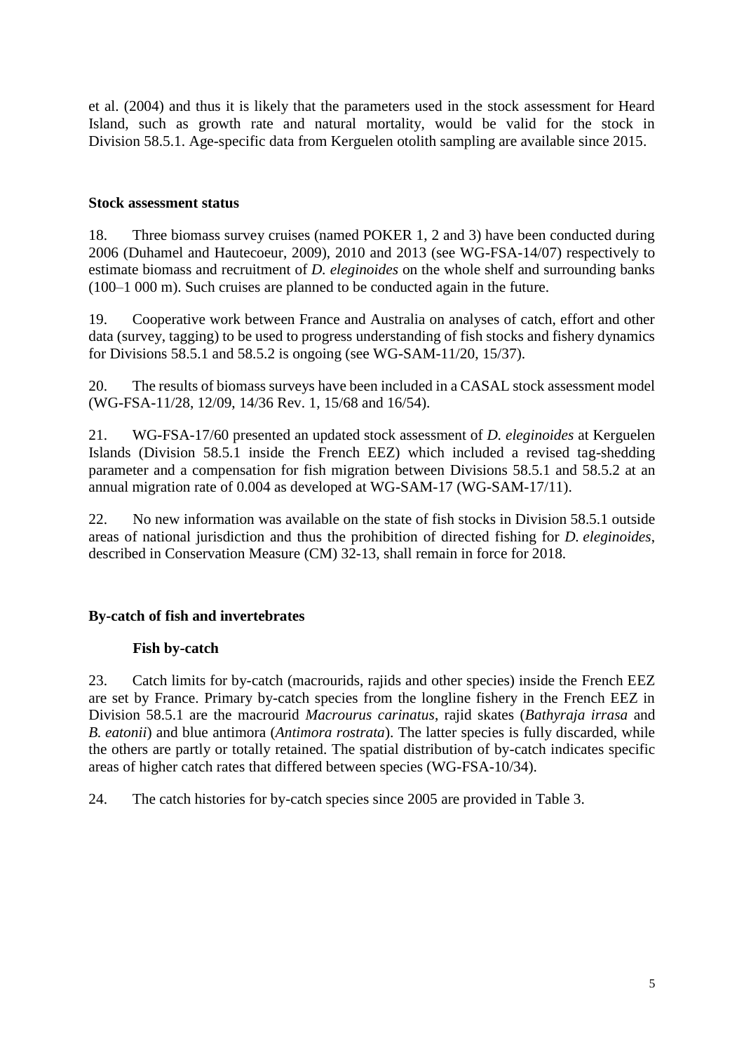et al. (2004) and thus it is likely that the parameters used in the stock assessment for Heard Island, such as growth rate and natural mortality, would be valid for the stock in Division 58.5.1. Age-specific data from Kerguelen otolith sampling are available since 2015.

## **Stock assessment status**

18. Three biomass survey cruises (named POKER 1, 2 and 3) have been conducted during 2006 (Duhamel and Hautecoeur, 2009), 2010 and 2013 (see WG-FSA-14/07) respectively to estimate biomass and recruitment of *D. eleginoides* on the whole shelf and surrounding banks (100–1 000 m). Such cruises are planned to be conducted again in the future.

19. Cooperative work between France and Australia on analyses of catch, effort and other data (survey, tagging) to be used to progress understanding of fish stocks and fishery dynamics for Divisions 58.5.1 and 58.5.2 is ongoing (see WG-SAM-11/20, 15/37).

20. The results of biomass surveys have been included in a CASAL stock assessment model (WG-FSA-11/28, 12/09, 14/36 Rev. 1, 15/68 and 16/54).

21. WG-FSA-17/60 presented an updated stock assessment of *D. eleginoides* at Kerguelen Islands (Division 58.5.1 inside the French EEZ) which included a revised tag-shedding parameter and a compensation for fish migration between Divisions 58.5.1 and 58.5.2 at an annual migration rate of 0.004 as developed at WG-SAM-17 (WG-SAM-17/11).

22. No new information was available on the state of fish stocks in Division 58.5.1 outside areas of national jurisdiction and thus the prohibition of directed fishing for *D. eleginoides*, described in Conservation Measure (CM) 32-13, shall remain in force for 2018.

# **By-catch of fish and invertebrates**

# **Fish by-catch**

23. Catch limits for by-catch (macrourids, rajids and other species) inside the French EEZ are set by France. Primary by-catch species from the longline fishery in the French EEZ in Division 58.5.1 are the macrourid *Macrourus carinatus*, rajid skates (*Bathyraja irrasa* and *B. eatonii*) and blue antimora (*Antimora rostrata*). The latter species is fully discarded, while the others are partly or totally retained. The spatial distribution of by-catch indicates specific areas of higher catch rates that differed between species (WG-FSA-10/34).

24. The catch histories for by-catch species since 2005 are provided in Table 3.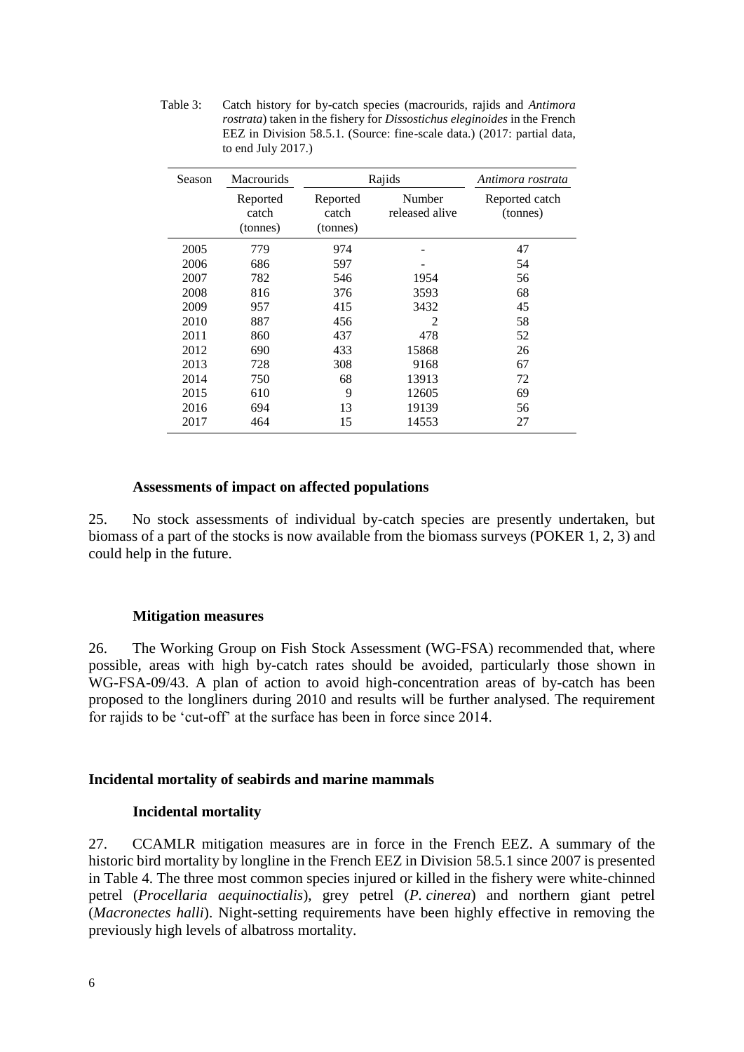Table 3: Catch history for by-catch species (macrourids, rajids and *Antimora rostrata*) taken in the fishery for *Dissostichus eleginoides* in the French EEZ in Division 58.5.1. (Source: fine-scale data.) (2017: partial data, to end July 2017.)

| Season | <b>Macrourids</b>             |                               | Rajids                   | Antimora rostrata          |
|--------|-------------------------------|-------------------------------|--------------------------|----------------------------|
|        | Reported<br>catch<br>(tonnes) | Reported<br>catch<br>(tonnes) | Number<br>released alive | Reported catch<br>(tonnes) |
| 2005   | 779                           | 974                           |                          | 47                         |
| 2006   | 686                           | 597                           |                          | 54                         |
| 2007   | 782                           | 546                           | 1954                     | 56                         |
| 2008   | 816                           | 376                           | 3593                     | 68                         |
| 2009   | 957                           | 415                           | 3432                     | 45                         |
| 2010   | 887                           | 456                           | $\overline{2}$           | 58                         |
| 2011   | 860                           | 437                           | 478                      | 52                         |
| 2012   | 690                           | 433                           | 15868                    | 26                         |
| 2013   | 728                           | 308                           | 9168                     | 67                         |
| 2014   | 750                           | 68                            | 13913                    | 72                         |
| 2015   | 610                           | 9                             | 12605                    | 69                         |
| 2016   | 694                           | 13                            | 19139                    | 56                         |
| 2017   | 464                           | 15                            | 14553                    | 27                         |

#### **Assessments of impact on affected populations**

25. No stock assessments of individual by-catch species are presently undertaken, but biomass of a part of the stocks is now available from the biomass surveys (POKER 1, 2, 3) and could help in the future.

#### **Mitigation measures**

26. The Working Group on Fish Stock Assessment (WG-FSA) recommended that, where possible, areas with high by-catch rates should be avoided, particularly those shown in WG-FSA-09/43. A plan of action to avoid high-concentration areas of by-catch has been proposed to the longliners during 2010 and results will be further analysed. The requirement for rajids to be 'cut-off' at the surface has been in force since 2014.

#### **Incidental mortality of seabirds and marine mammals**

#### **Incidental mortality**

27. CCAMLR mitigation measures are in force in the French EEZ. A summary of the historic bird mortality by longline in the French EEZ in Division 58.5.1 since 2007 is presented in Table 4. The three most common species injured or killed in the fishery were white-chinned petrel (*Procellaria aequinoctialis*), grey petrel (*P. cinerea*) and northern giant petrel (*Macronectes halli*). Night-setting requirements have been highly effective in removing the previously high levels of albatross mortality.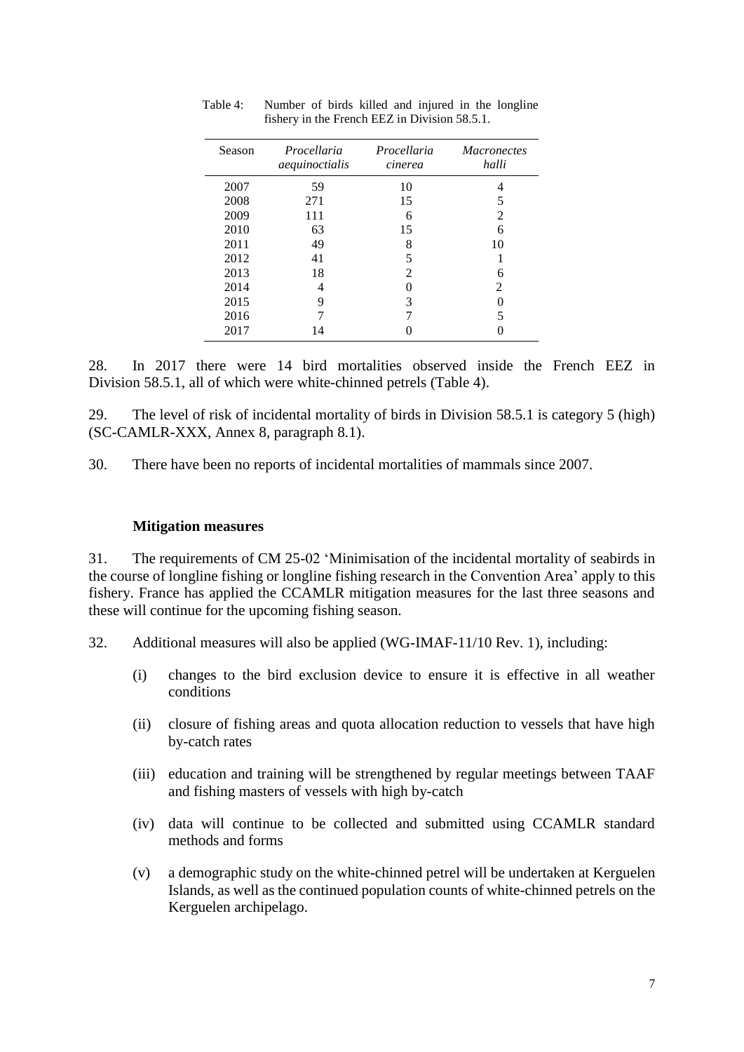| Season | Procellaria<br>aequinoctialis | Procellaria<br>cinerea | <b>Macronectes</b><br>halli |
|--------|-------------------------------|------------------------|-----------------------------|
| 2007   | 59                            | 10                     | 4                           |
| 2008   | 271                           | 15                     | 5                           |
| 2009   | 111                           | 6                      | 2                           |
| 2010   | 63                            | 15                     | 6                           |
| 2011   | 49                            | 8                      | 10                          |
| 2012   | 41                            | 5                      |                             |
| 2013   | 18                            | 2                      | 6                           |
| 2014   | 4                             |                        | 2                           |
| 2015   | 9                             | 3                      |                             |
| 2016   |                               |                        | 5                           |
| 2017   | 4                             |                        |                             |

Table 4: Number of birds killed and injured in the longline fishery in the French EEZ in Division 58.5.1.

28. In 2017 there were 14 bird mortalities observed inside the French EEZ in Division 58.5.1, all of which were white-chinned petrels (Table 4).

29. The level of risk of incidental mortality of birds in Division 58.5.1 is category 5 (high) (SC-CAMLR-XXX, Annex 8, paragraph 8.1).

30. There have been no reports of incidental mortalities of mammals since 2007.

#### **Mitigation measures**

31. The requirements of CM 25-02 'Minimisation of the incidental mortality of seabirds in the course of longline fishing or longline fishing research in the Convention Area' apply to this fishery. France has applied the CCAMLR mitigation measures for the last three seasons and these will continue for the upcoming fishing season.

- 32. Additional measures will also be applied (WG-IMAF-11/10 Rev. 1), including:
	- (i) changes to the bird exclusion device to ensure it is effective in all weather conditions
	- (ii) closure of fishing areas and quota allocation reduction to vessels that have high by-catch rates
	- (iii) education and training will be strengthened by regular meetings between TAAF and fishing masters of vessels with high by-catch
	- (iv) data will continue to be collected and submitted using CCAMLR standard methods and forms
	- (v) a demographic study on the white-chinned petrel will be undertaken at Kerguelen Islands, as well as the continued population counts of white-chinned petrels on the Kerguelen archipelago.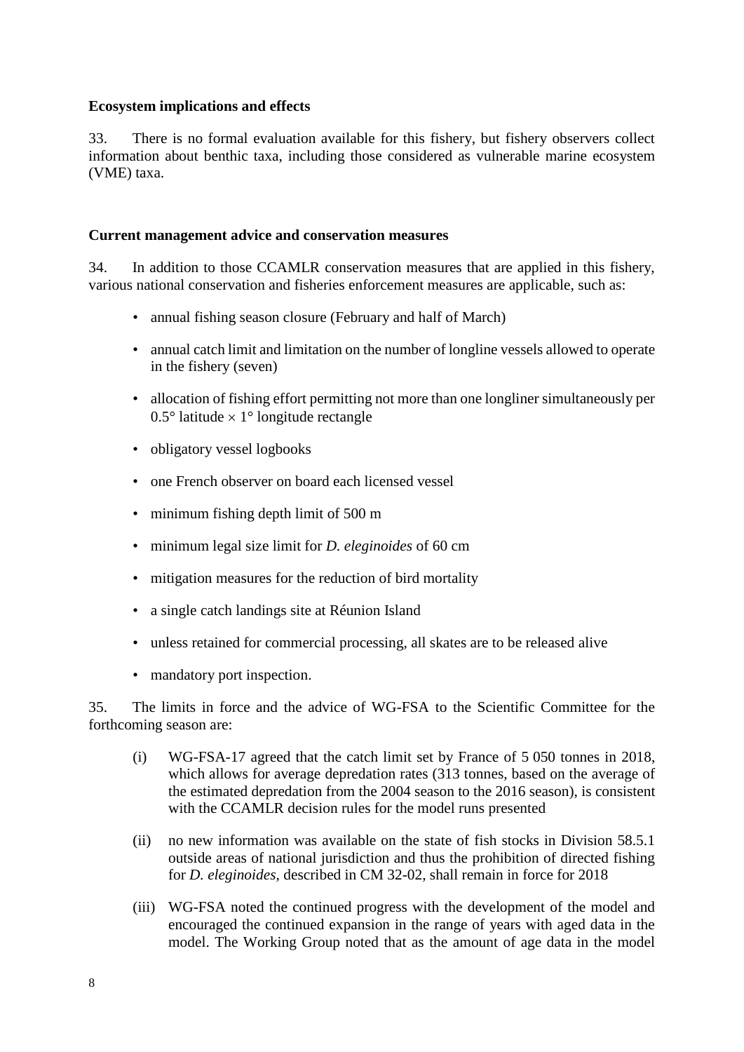### **Ecosystem implications and effects**

33. There is no formal evaluation available for this fishery, but fishery observers collect information about benthic taxa, including those considered as vulnerable marine ecosystem (VME) taxa.

## **Current management advice and conservation measures**

34. In addition to those CCAMLR conservation measures that are applied in this fishery, various national conservation and fisheries enforcement measures are applicable, such as:

- annual fishing season closure (February and half of March)
- annual catch limit and limitation on the number of longline vessels allowed to operate in the fishery (seven)
- allocation of fishing effort permitting not more than one longliner simultaneously per  $0.5^{\circ}$  latitude  $\times$  1° longitude rectangle
- obligatory vessel logbooks
- one French observer on board each licensed vessel
- minimum fishing depth limit of 500 m
- minimum legal size limit for *D. eleginoides* of 60 cm
- mitigation measures for the reduction of bird mortality
- a single catch landings site at Réunion Island
- unless retained for commercial processing, all skates are to be released alive
- mandatory port inspection.

35. The limits in force and the advice of WG-FSA to the Scientific Committee for the forthcoming season are:

- (i) WG-FSA-17 agreed that the catch limit set by France of 5 050 tonnes in 2018, which allows for average depredation rates (313 tonnes, based on the average of the estimated depredation from the 2004 season to the 2016 season), is consistent with the CCAMLR decision rules for the model runs presented
- (ii) no new information was available on the state of fish stocks in Division 58.5.1 outside areas of national jurisdiction and thus the prohibition of directed fishing for *D. eleginoides*, described in CM 32-02, shall remain in force for 2018
- (iii) WG-FSA noted the continued progress with the development of the model and encouraged the continued expansion in the range of years with aged data in the model. The Working Group noted that as the amount of age data in the model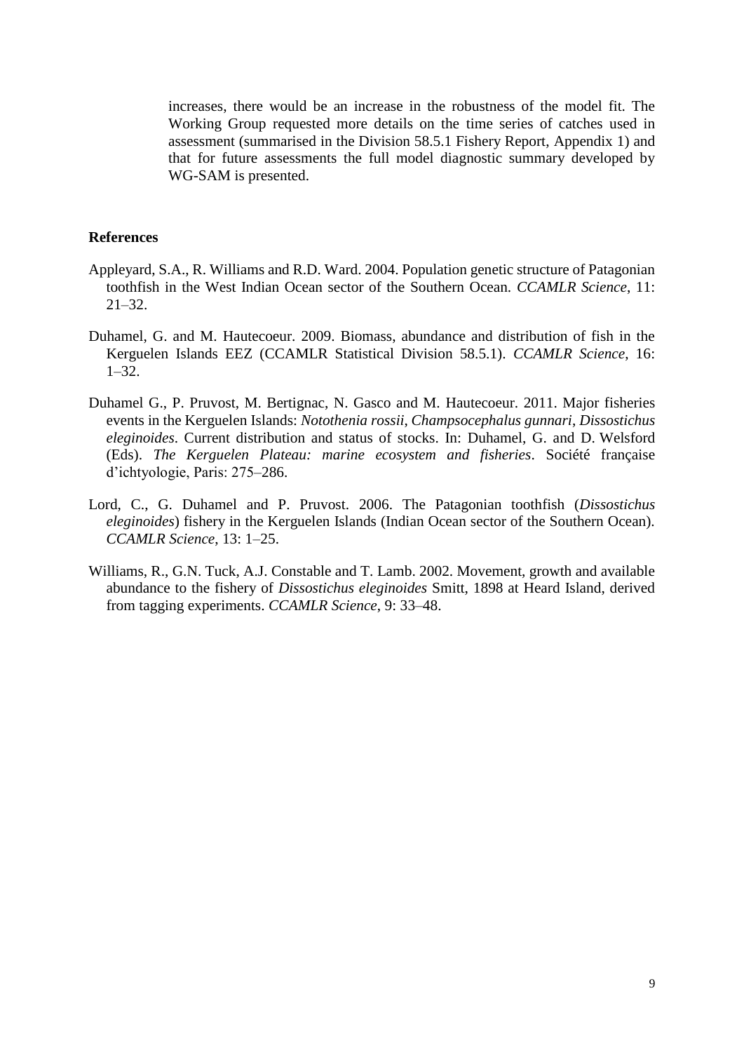increases, there would be an increase in the robustness of the model fit. The Working Group requested more details on the time series of catches used in assessment (summarised in the Division 58.5.1 Fishery Report, Appendix 1) and that for future assessments the full model diagnostic summary developed by WG-SAM is presented.

#### **References**

- Appleyard, S.A., R. Williams and R.D. Ward. 2004. Population genetic structure of Patagonian toothfish in the West Indian Ocean sector of the Southern Ocean. *CCAMLR Science*, 11: 21–32.
- Duhamel, G. and M. Hautecoeur. 2009. Biomass, abundance and distribution of fish in the Kerguelen Islands EEZ (CCAMLR Statistical Division 58.5.1). *CCAMLR Science*, 16: 1–32.
- Duhamel G., P. Pruvost, M. Bertignac, N. Gasco and M. Hautecoeur. 2011. Major fisheries events in the Kerguelen Islands: *Notothenia rossii*, *Champsocephalus gunnari*, *Dissostichus eleginoides*. Current distribution and status of stocks. In: Duhamel, G. and D. Welsford (Eds). *The Kerguelen Plateau: marine ecosystem and fisheries*. Société française d'ichtyologie, Paris: 275–286.
- Lord, C., G. Duhamel and P. Pruvost. 2006. The Patagonian toothfish (*Dissostichus eleginoides*) fishery in the Kerguelen Islands (Indian Ocean sector of the Southern Ocean). *CCAMLR Science*, 13: 1–25.
- Williams, R., G.N. Tuck, A.J. Constable and T. Lamb. 2002. Movement, growth and available abundance to the fishery of *Dissostichus eleginoides* Smitt, 1898 at Heard Island, derived from tagging experiments. *CCAMLR Science*, 9: 33–48.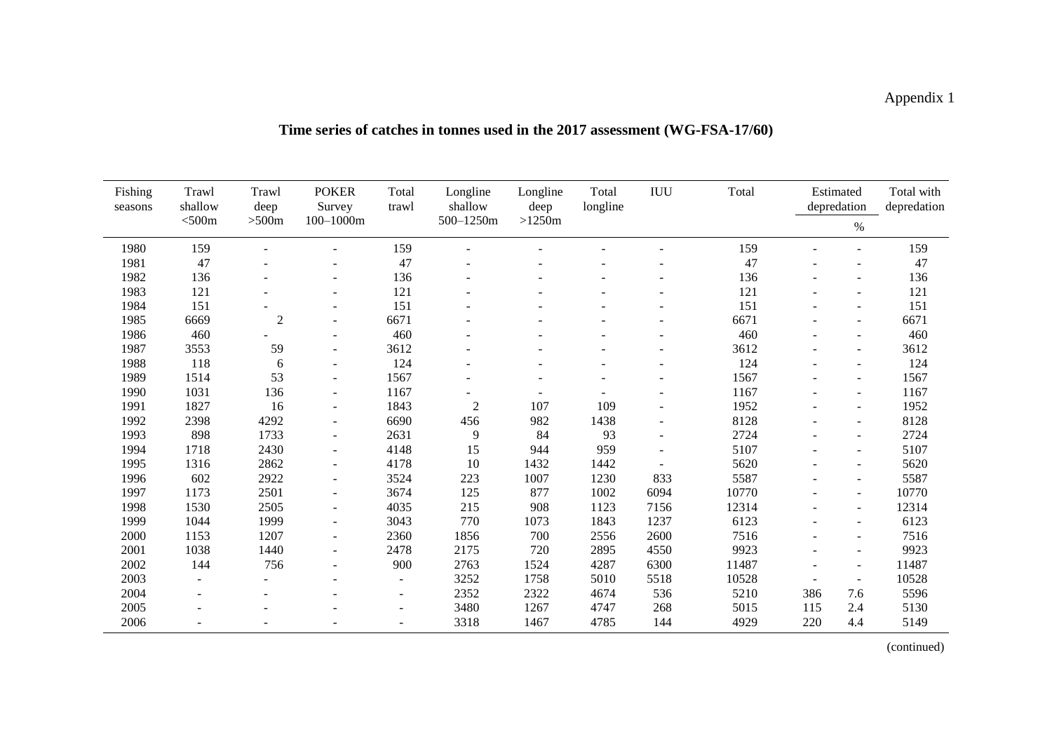# Appendix 1

# **Time series of catches in tonnes used in the 2017 assessment (WG-FSA-17/60)**

| Fishing<br>seasons | Trawl<br>shallow | Trawl<br>deep  | <b>POKER</b><br>Survey   | Total<br>trawl | Longline<br>shallow | Longline<br>deep | Total<br>longline | ${\rm IUU}$              | Total | Estimated<br>depredation |                          | Total with<br>depredation |
|--------------------|------------------|----------------|--------------------------|----------------|---------------------|------------------|-------------------|--------------------------|-------|--------------------------|--------------------------|---------------------------|
|                    | $<$ 500 $m$      | $>500m$        | $100 - 1000m$            |                | 500-1250m           | $>1250m$         |                   |                          |       |                          | $\%$                     |                           |
| 1980               | 159              |                |                          | 159            |                     |                  |                   |                          | 159   |                          |                          | 159                       |
| 1981               | 47               |                |                          | 47             |                     |                  |                   |                          | 47    |                          |                          | 47                        |
| 1982               | 136              |                | ÷.                       | 136            |                     |                  |                   |                          | 136   |                          | $\sim$                   | 136                       |
| 1983               | 121              |                | $\overline{\phantom{a}}$ | 121            |                     |                  |                   |                          | 121   |                          | $\overline{\phantom{a}}$ | 121                       |
| 1984               | 151              |                |                          | 151            |                     |                  |                   |                          | 151   |                          | $\blacksquare$           | 151                       |
| 1985               | 6669             | $\overline{2}$ | $\overline{a}$           | 6671           |                     |                  |                   |                          | 6671  |                          |                          | 6671                      |
| 1986               | 460              | $\overline{a}$ | $\overline{\phantom{a}}$ | 460            |                     |                  |                   | $\blacksquare$           | 460   |                          | $\overline{\phantom{a}}$ | 460                       |
| 1987               | 3553             | 59             | $\blacksquare$           | 3612           |                     |                  |                   |                          | 3612  |                          | $\sim$                   | 3612                      |
| 1988               | 118              | 6              | $\blacksquare$           | 124            |                     |                  |                   |                          | 124   |                          |                          | 124                       |
| 1989               | 1514             | 53             | $\overline{\phantom{a}}$ | 1567           |                     |                  |                   |                          | 1567  |                          | $\qquad \qquad -$        | 1567                      |
| 1990               | 1031             | 136            | $\overline{\phantom{a}}$ | 1167           |                     |                  |                   |                          | 1167  |                          | $\overline{\phantom{a}}$ | 1167                      |
| 1991               | 1827             | 16             | $\sim$                   | 1843           | $\overline{2}$      | 107              | 109               |                          | 1952  |                          |                          | 1952                      |
| 1992               | 2398             | 4292           | $\overline{\phantom{a}}$ | 6690           | 456                 | 982              | 1438              |                          | 8128  |                          | $\overline{\phantom{a}}$ | 8128                      |
| 1993               | 898              | 1733           | $\sim$                   | 2631           | 9                   | 84               | 93                | $\overline{\phantom{a}}$ | 2724  |                          | $\sim$                   | 2724                      |
| 1994               | 1718             | 2430           | $\overline{\phantom{a}}$ | 4148           | 15                  | 944              | 959               | $\overline{\phantom{a}}$ | 5107  |                          | $\overline{\phantom{a}}$ | 5107                      |
| 1995               | 1316             | 2862           | $\sim$                   | 4178           | 10                  | 1432             | 1442              |                          | 5620  |                          | $\blacksquare$           | 5620                      |
| 1996               | 602              | 2922           | $\sim$                   | 3524           | 223                 | 1007             | 1230              | 833                      | 5587  |                          | $\overline{\phantom{a}}$ | 5587                      |
| 1997               | 1173             | 2501           | $\sim$                   | 3674           | 125                 | 877              | 1002              | 6094                     | 10770 |                          | $\overline{\phantom{a}}$ | 10770                     |
| 1998               | 1530             | 2505           | $\overline{\phantom{a}}$ | 4035           | 215                 | 908              | 1123              | 7156                     | 12314 |                          | $\sim$                   | 12314                     |
| 1999               | 1044             | 1999           | $\sim$                   | 3043           | 770                 | 1073             | 1843              | 1237                     | 6123  |                          | $\sim$                   | 6123                      |
| 2000               | 1153             | 1207           | $\overline{\phantom{a}}$ | 2360           | 1856                | 700              | 2556              | 2600                     | 7516  |                          | $\overline{\phantom{a}}$ | 7516                      |
| 2001               | 1038             | 1440           | $\overline{\phantom{a}}$ | 2478           | 2175                | 720              | 2895              | 4550                     | 9923  |                          | $\overline{\phantom{a}}$ | 9923                      |
| 2002               | 144              | 756            | $\blacksquare$           | 900            | 2763                | 1524             | 4287              | 6300                     | 11487 |                          | $\sim$                   | 11487                     |
| 2003               | $\blacksquare$   | ÷.             |                          | ÷              | 3252                | 1758             | 5010              | 5518                     | 10528 |                          | $\overline{\phantom{a}}$ | 10528                     |
| 2004               |                  |                |                          | $\blacksquare$ | 2352                | 2322             | 4674              | 536                      | 5210  | 386                      | 7.6                      | 5596                      |
| 2005               |                  |                |                          | $\blacksquare$ | 3480                | 1267             | 4747              | 268                      | 5015  | 115                      | 2.4                      | 5130                      |
| 2006               |                  |                |                          | ۰              | 3318                | 1467             | 4785              | 144                      | 4929  | 220                      | 4.4                      | 5149                      |

(continued)